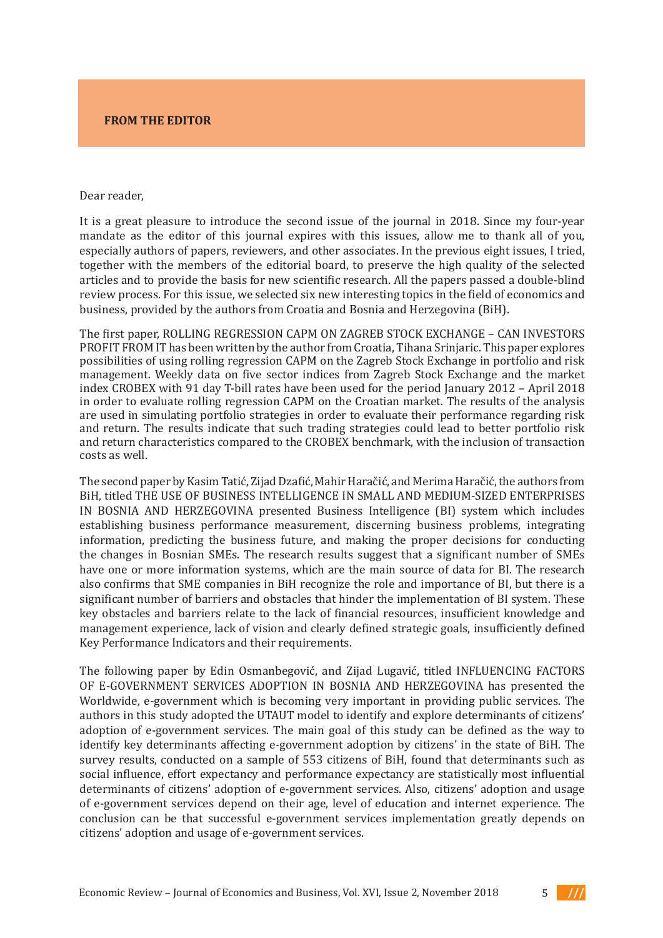## **FROM THE EDITOR**

## Dear reader, Dear reader,

It is a great pleasure to introduce the second issue of the journal in 2018. Since my four-year exted a great preded to difference the second term of the field of economics and business and business with this issues, allow me to thank all of you, especially authors of papers, reviewers, and other associates. In the previous eight issues, I tried, together with the members of the editorial board, to preserve the high quality of the selected articles and to provide the basis for new scientific research. All the papers passed a double-blind review process. For this issue, we selected six new interesting topics in the field of economics and business, provided by the authors from Croatia and Bosnia and Herzegovina (BiH).

employed to collect data from employees at fire and rescue organizations in Malaysia. The The first paper, ROLLING REGRESSION CAPM ON ZAGREB STOCK EXCHANGE – CAN INVESTORS<br>PROFILIPEDOMITY profil from H nas been written by the author from Groatia, Tinana Srinjaric. This paper explores possibilities of using folling regression CAF M on the Zagreb Stock Exchange in portiono and fisk<br>menagement. Weekly data an fixe gegten indiges from Zagreb Stock Exchange and the market indingentent. Weenly udid on nve sector multes from zagreb stock exchange and the market<br>indoveDODEV with 01 day T bill rates hove been used for the neried January 2012 – April 2010 in order to evaluate rolling regression CAPM on the Croatian market. The results of the analysis in order to evaluate rolling regression CAPM on the Croatian market. The results of the analysis are used in simulating portfolio strategies in order to evaluate their performance regarding risk and return. The results indicate that such trading strategies could lead to better portfolio risk and return characteristics compared to the CROBEX benchmark, with the inclusion of transaction  $\sigma$  the analysis of the problems with the collection of accounts received  $\sigma$ PROFIT FROM IT has been written by the author from Croatia, Tihana Srinjaric. This paper explores possibilities of using rolling regression CAPM on the Zagreb Stock Exchange in portfolio and risk management. Weekly data on five sector indices from Zagreb Stock Exchange and the market index CROBEX with 91 day T-bill rates have been used for the period January 2012 – April 2018 costs as well.

 $\Gamma$ he sesend penerby  $V$ esim Tetić,  $T$ ijed Duefić, Mehir Herešić, and Merime Herešić, the euthers from riic sceond paper by nashir tatic, zijad Dzahe, mann fiaracie, and merinia haracie, the additors from<br>DHI-++lod THE HEE OF DHEINEEC INTELLICENCE IN CMALL AND MEDHIM CIZED ENTEDDDICE competitive in the competitive international and medium-sized enterprises in BiH and to see the second to see <br>Distribution of the competitive enterprises in BiH and to the competitive or and to see the size of the second in dobina and herzegovina presence disances intelligence (dif system which includes establishing business performance measurement, discerning business problems, integrating<br>Life continuous distinction in the subject of the subjective the subjective formal attending information, predicting the business future, and making the proper decisions for conducting.<br>
It is the lattice of CMF and the lattice of the conductions in the conductions of the conductions of the conductions. the changes in Bosnian SMEs. The research results suggest that a significant number of SMEs have one or more information systems, which are the main source of data for BI. The research significant number of barriers and obstacles that hinder the implementation of BI system. These key obstacles and barriers relate to the lack of financial resources, insufficient knowledge and management experience, lack of vision and clearly defined strategic goals, insufficiently defined Key Performance Indicators and their requirements.  $\frac{1}{2}$ The second paper by Kasim Tatić, Zijad Dzafić, Mahir Haračić, and Merima Haračić, the authors from BiH, titled THE USE OF BUSINESS INTELLIGENCE IN SMALL AND MEDIUM-SIZED ENTERPRISES IN BOSNIA AND HERZEGOVINA presented Business Intelligence (BI) system which includes also confirms that SME companies in BiH recognize the role and importance of BI, but there is a

The following paper by Edin Osmanbegović, and Zijad Lugavić, titled INFLUENCING FACTORS check the main and supporting hypotheses, the authors used the Spearman's correlation OF E-GOVERNMENT SERVICES ADOPTION IN BOSNIA AND HERZEGOVINA has presented the Worldwide, e-government which is becoming very important in providing public services. The authors in this study adopted the UTAUT model to identify and explore determinants of citizens' adoption of e-government services. The main goal of this study can be defined as the way to identify key determinants affecting e-government adoption by citizens' in the state of BiH. The survey results, conducted on a sample of 553 citizens of BiH, found that determinants such as social influence, effort expectancy and performance expectancy are statistically most influential determinants of citizens' adoption of e-government services. Also, citizens' adoption and usage of e-government services depend on their age, level of education and internet experience. The conclusion can be that successful e-government services implementation greatly depends on citizens' adoption and usage of e-government services.